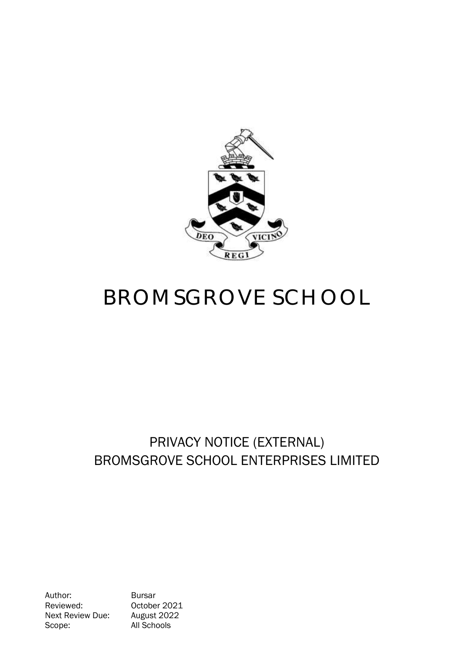

# BROMSGROVE SCHOOL

## PRIVACY NOTICE (EXTERNAL) BROMSGROVE SCHOOL ENTERPRISES LIMITED

Author: Bursar Reviewed: 0ctober 2021<br>Next Review Due: August 2022 Next Review Due: Scope: All Schools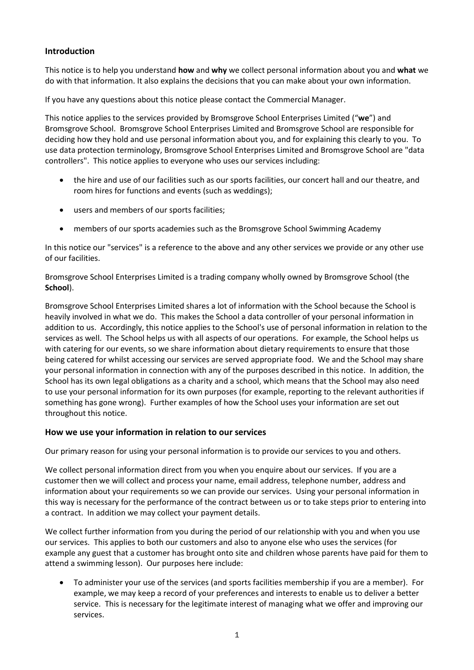### **Introduction**

This notice is to help you understand **how** and **why** we collect personal information about you and **what** we do with that information. It also explains the decisions that you can make about your own information.

If you have any questions about this notice please contact the Commercial Manager.

This notice applies to the services provided by Bromsgrove School Enterprises Limited ("**we**") and Bromsgrove School. Bromsgrove School Enterprises Limited and Bromsgrove School are responsible for deciding how they hold and use personal information about you, and for explaining this clearly to you. To use data protection terminology, Bromsgrove School Enterprises Limited and Bromsgrove School are "data controllers".This notice applies to everyone who uses our services including:

- the hire and use of our facilities such as our sports facilities, our concert hall and our theatre, and room hires for functions and events (such as weddings);
- users and members of our sports facilities;
- members of our sports academies such as the Bromsgrove School Swimming Academy

In this notice our "services" is a reference to the above and any other services we provide or any other use of our facilities.

Bromsgrove School Enterprises Limited is a trading company wholly owned by Bromsgrove School (the **School**).

Bromsgrove School Enterprises Limited shares a lot of information with the School because the School is heavily involved in what we do. This makes the School a data controller of your personal information in addition to us. Accordingly, this notice applies to the School's use of personal information in relation to the services as well. The School helps us with all aspects of our operations. For example, the School helps us with catering for our events, so we share information about dietary requirements to ensure that those being catered for whilst accessing our services are served appropriate food. We and the School may share your personal information in connection with any of the purposes described in this notice. In addition, the School has its own legal obligations as a charity and a school, which means that the School may also need to use your personal information for its own purposes (for example, reporting to the relevant authorities if something has gone wrong). Further examples of how the School uses your information are set out throughout this notice.

#### **How we use your information in relation to our services**

Our primary reason for using your personal information is to provide our services to you and others.

We collect personal information direct from you when you enquire about our services. If you are a customer then we will collect and process your name, email address, telephone number, address and information about your requirements so we can provide our services. Using your personal information in this way is necessary for the performance of the contract between us or to take steps prior to entering into a contract. In addition we may collect your payment details.

We collect further information from you during the period of our relationship with you and when you use our services. This applies to both our customers and also to anyone else who uses the services (for example any guest that a customer has brought onto site and children whose parents have paid for them to attend a swimming lesson). Our purposes here include:

 To administer your use of the services (and sports facilities membership if you are a member). For example, we may keep a record of your preferences and interests to enable us to deliver a better service. This is necessary for the legitimate interest of managing what we offer and improving our services.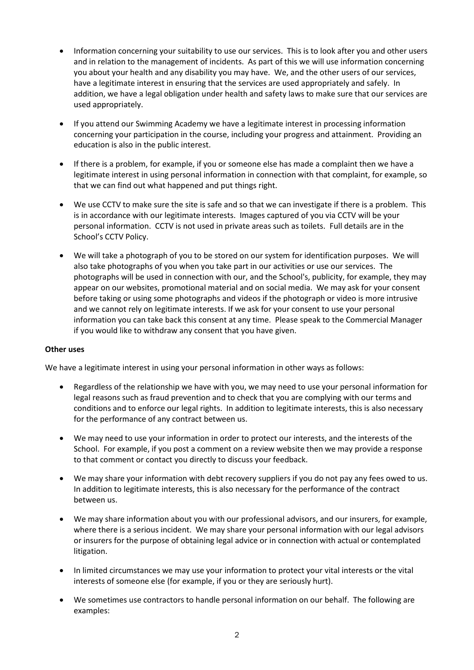- Information concerning your suitability to use our services. This is to look after you and other users and in relation to the management of incidents. As part of this we will use information concerning you about your health and any disability you may have. We, and the other users of our services, have a legitimate interest in ensuring that the services are used appropriately and safely. In addition, we have a legal obligation under health and safety laws to make sure that our services are used appropriately.
- If you attend our Swimming Academy we have a legitimate interest in processing information concerning your participation in the course, including your progress and attainment. Providing an education is also in the public interest.
- If there is a problem, for example, if you or someone else has made a complaint then we have a legitimate interest in using personal information in connection with that complaint, for example, so that we can find out what happened and put things right.
- We use CCTV to make sure the site is safe and so that we can investigate if there is a problem. This is in accordance with our legitimate interests. Images captured of you via CCTV will be your personal information. CCTV is not used in private areas such as toilets. Full details are in the School's CCTV Policy.
- We will take a photograph of you to be stored on our system for identification purposes. We will also take photographs of you when you take part in our activities or use our services. The photographs will be used in connection with our, and the School's, publicity, for example, they may appear on our websites, promotional material and on social media. We may ask for your consent before taking or using some photographs and videos if the photograph or video is more intrusive and we cannot rely on legitimate interests. If we ask for your consent to use your personal information you can take back this consent at any time. Please speak to the Commercial Manager if you would like to withdraw any consent that you have given.

#### **Other uses**

We have a legitimate interest in using your personal information in other ways as follows:

- Regardless of the relationship we have with you, we may need to use your personal information for legal reasons such as fraud prevention and to check that you are complying with our terms and conditions and to enforce our legal rights. In addition to legitimate interests, this is also necessary for the performance of any contract between us.
- We may need to use your information in order to protect our interests, and the interests of the School.For example, if you post a comment on a review website then we may provide a response to that comment or contact you directly to discuss your feedback.
- We may share your information with debt recovery suppliers if you do not pay any fees owed to us. In addition to legitimate interests, this is also necessary for the performance of the contract between us.
- We may share information about you with our professional advisors, and our insurers, for example, where there is a serious incident. We may share your personal information with our legal advisors or insurers for the purpose of obtaining legal advice or in connection with actual or contemplated litigation.
- In limited circumstances we may use your information to protect your vital interests or the vital interests of someone else (for example, if you or they are seriously hurt).
- We sometimes use contractors to handle personal information on our behalf. The following are examples: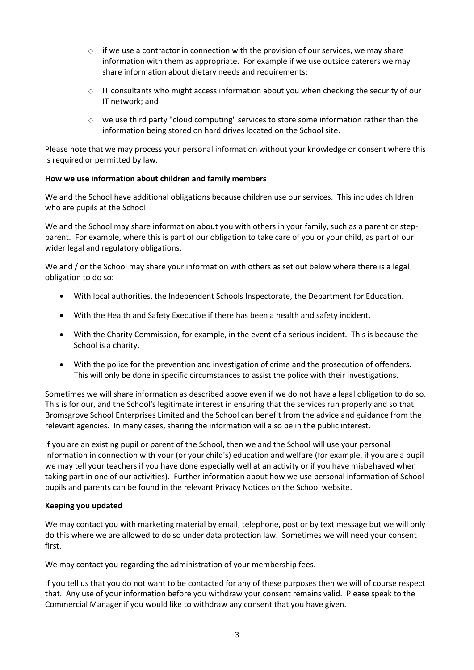- $\circ$  if we use a contractor in connection with the provision of our services, we may share information with them as appropriate. For example if we use outside caterers we may share information about dietary needs and requirements;
- $\circ$  IT consultants who might access information about you when checking the security of our IT network; and
- $\circ$  we use third party "cloud computing" services to store some information rather than the information being stored on hard drives located on the School site.

Please note that we may process your personal information without your knowledge or consent where this is required or permitted by law.

#### **How we use information about children and family members**

We and the School have additional obligations because children use our services. This includes children who are pupils at the School.

We and the School may share information about you with others in your family, such as a parent or stepparent. For example, where this is part of our obligation to take care of you or your child, as part of our wider legal and regulatory obligations.

We and / or the School may share your information with others as set out below where there is a legal obligation to do so:

- With local authorities, the Independent Schools Inspectorate, the Department for Education.
- With the Health and Safety Executive if there has been a health and safety incident.
- With the Charity Commission, for example, in the event of a serious incident. This is because the School is a charity.
- With the police for the prevention and investigation of crime and the prosecution of offenders. This will only be done in specific circumstances to assist the police with their investigations.

Sometimes we will share information as described above even if we do not have a legal obligation to do so. This is for our, and the School's legitimate interest in ensuring that the services run properly and so that Bromsgrove School Enterprises Limited and the School can benefit from the advice and guidance from the relevant agencies. In many cases, sharing the information will also be in the public interest.

If you are an existing pupil or parent of the School, then we and the School will use your personal information in connection with your (or your child's) education and welfare (for example, if you are a pupil we may tell your teachers if you have done especially well at an activity or if you have misbehaved when taking part in one of our activities). Further information about how we use personal information of School pupils and parents can be found in the relevant Privacy Notices on the School website.

#### **Keeping you updated**

We may contact you with marketing material by email, telephone, post or by text message but we will only do this where we are allowed to do so under data protection law. Sometimes we will need your consent first.

We may contact you regarding the administration of your membership fees.

If you tell us that you do not want to be contacted for any of these purposes then we will of course respect that. Any use of your information before you withdraw your consent remains valid. Please speak to the Commercial Manager if you would like to withdraw any consent that you have given.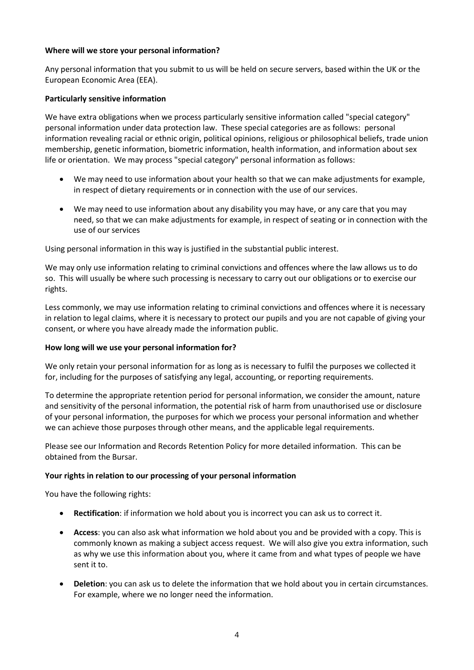#### **Where will we store your personal information?**

Any personal information that you submit to us will be held on secure servers, based within the UK or the European Economic Area (EEA).

#### **Particularly sensitive information**

We have extra obligations when we process particularly sensitive information called "special category" personal information under data protection law. These special categories are as follows: personal information revealing racial or ethnic origin, political opinions, religious or philosophical beliefs, trade union membership, genetic information, biometric information, health information, and information about sex life or orientation. We may process "special category" personal information as follows:

- We may need to use information about your health so that we can make adjustments for example, in respect of dietary requirements or in connection with the use of our services.
- We may need to use information about any disability you may have, or any care that you may need, so that we can make adjustments for example, in respect of seating or in connection with the use of our services

Using personal information in this way is justified in the substantial public interest.

We may only use information relating to criminal convictions and offences where the law allows us to do so. This will usually be where such processing is necessary to carry out our obligations or to exercise our rights.

Less commonly, we may use information relating to criminal convictions and offences where it is necessary in relation to legal claims, where it is necessary to protect our pupils and you are not capable of giving your consent, or where you have already made the information public.

#### **How long will we use your personal information for?**

We only retain your personal information for as long as is necessary to fulfil the purposes we collected it for, including for the purposes of satisfying any legal, accounting, or reporting requirements.

To determine the appropriate retention period for personal information, we consider the amount, nature and sensitivity of the personal information, the potential risk of harm from unauthorised use or disclosure of your personal information, the purposes for which we process your personal information and whether we can achieve those purposes through other means, and the applicable legal requirements.

Please see our Information and Records Retention Policy for more detailed information. This can be obtained from the Bursar.

#### **Your rights in relation to our processing of your personal information**

You have the following rights:

- **Rectification**: if information we hold about you is incorrect you can ask us to correct it.
- **Access**: you can also ask what information we hold about you and be provided with a copy. This is commonly known as making a subject access request. We will also give you extra information, such as why we use this information about you, where it came from and what types of people we have sent it to.
- **Deletion**: you can ask us to delete the information that we hold about you in certain circumstances. For example, where we no longer need the information.